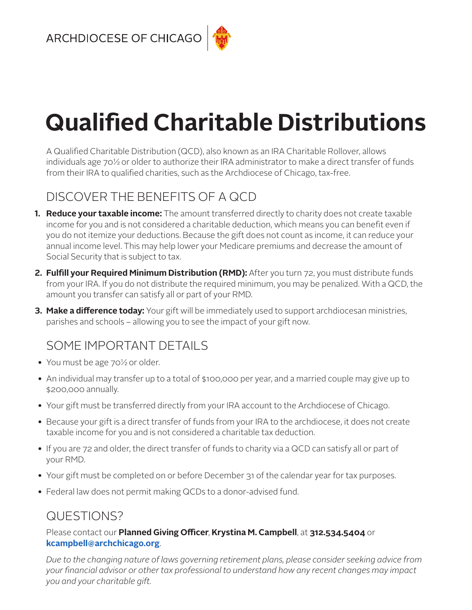# **Qualified Charitable Distributions**

A Qualified Charitable Distribution (QCD), also known as an IRA Charitable Rollover, allows individuals age 70½ or older to authorize their IRA administrator to make a direct transfer of funds from their IRA to qualified charities, such as the Archdiocese of Chicago, tax-free.

# DISCOVER THE BENEFITS OF A QCD

- **1. Reduce your taxable income:** The amount transferred directly to charity does not create taxable income for you and is not considered a charitable deduction, which means you can benefit even if you do not itemize your deductions. Because the gift does not count as income, it can reduce your annual income level. This may help lower your Medicare premiums and decrease the amount of Social Security that is subject to tax.
- **2. Fulfill your Required Minimum Distribution (RMD):** After you turn 72, you must distribute funds from your IRA. If you do not distribute the required minimum, you may be penalized. With a QCD, the amount you transfer can satisfy all or part of your RMD.
- **3. Make a difference today:** Your gift will be immediately used to support archdiocesan ministries, parishes and schools – allowing you to see the impact of your gift now.

# SOME IMPORTANT DETAILS

- You must be age 70<sup>1/2</sup> or older.
- An individual may transfer up to a total of \$100,000 per year, and a married couple may give up to \$200,000 annually.
- Your gift must be transferred directly from your IRA account to the Archdiocese of Chicago.
- Because your gift is a direct transfer of funds from your IRA to the archdiocese, it does not create taxable income for you and is not considered a charitable tax deduction.
- If you are 72 and older, the direct transfer of funds to charity via a QCD can satisfy all or part of your RMD.
- Your gift must be completed on or before December 31 of the calendar year for tax purposes.
- Federal law does not permit making QCDs to a donor-advised fund.

## QUESTIONS?

## Please contact our **Planned Giving Officer**, **Krystina M. Campbell**, at **312.534.5404** or **[kcampbell@archchicago.org](mailto:kcampbell%40archchicago.org?subject=)**.

*Due to the changing nature of laws governing retirement plans, please consider seeking advice from your financial advisor or other tax professional to understand how any recent changes may impact you and your charitable gift.*